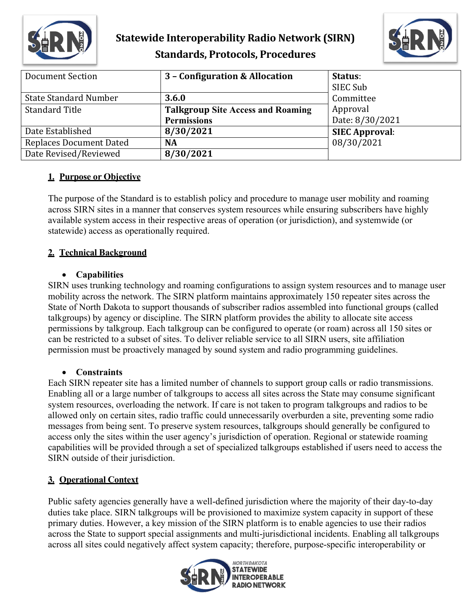



| <b>Document Section</b>        | 3 - Configuration & Allocation           | Status:               |
|--------------------------------|------------------------------------------|-----------------------|
|                                |                                          | SIEC Sub              |
| <b>State Standard Number</b>   | 3.6.0                                    | Committee             |
| <b>Standard Title</b>          | <b>Talkgroup Site Access and Roaming</b> | Approval              |
|                                | <b>Permissions</b>                       | Date: 8/30/2021       |
| Date Established               | 8/30/2021                                | <b>SIEC Approval:</b> |
| <b>Replaces Document Dated</b> | <b>NA</b>                                | 08/30/2021            |
| Date Revised/Reviewed          | 8/30/2021                                |                       |

# **1. Purpose or Objective**

The purpose of the Standard is to establish policy and procedure to manage user mobility and roaming across SIRN sites in a manner that conserves system resources while ensuring subscribers have highly available system access in their respective areas of operation (or jurisdiction), and systemwide (or statewide) access as operationally required.

## **2. Technical Background**

#### • **Capabilities**

SIRN uses trunking technology and roaming configurations to assign system resources and to manage user mobility across the network. The SIRN platform maintains approximately 150 repeater sites across the State of North Dakota to support thousands of subscriber radios assembled into functional groups (called talkgroups) by agency or discipline. The SIRN platform provides the ability to allocate site access permissions by talkgroup. Each talkgroup can be configured to operate (or roam) across all 150 sites or can be restricted to a subset of sites. To deliver reliable service to all SIRN users, site affiliation permission must be proactively managed by sound system and radio programming guidelines.

#### • **Constraints**

Each SIRN repeater site has a limited number of channels to support group calls or radio transmissions. Enabling all or a large number of talkgroups to access all sites across the State may consume significant system resources, overloading the network. If care is not taken to program talkgroups and radios to be allowed only on certain sites, radio traffic could unnecessarily overburden a site, preventing some radio messages from being sent. To preserve system resources, talkgroups should generally be configured to access only the sites within the user agency's jurisdiction of operation. Regional or statewide roaming capabilities will be provided through a set of specialized talkgroups established if users need to access the SIRN outside of their jurisdiction.

## **3. Operational Context**

Public safety agencies generally have a well-defined jurisdiction where the majority of their day-to-day duties take place. SIRN talkgroups will be provisioned to maximize system capacity in support of these primary duties. However, a key mission of the SIRN platform is to enable agencies to use their radios across the State to support special assignments and multi-jurisdictional incidents. Enabling all talkgroups across all sites could negatively affect system capacity; therefore, purpose-specific interoperability or

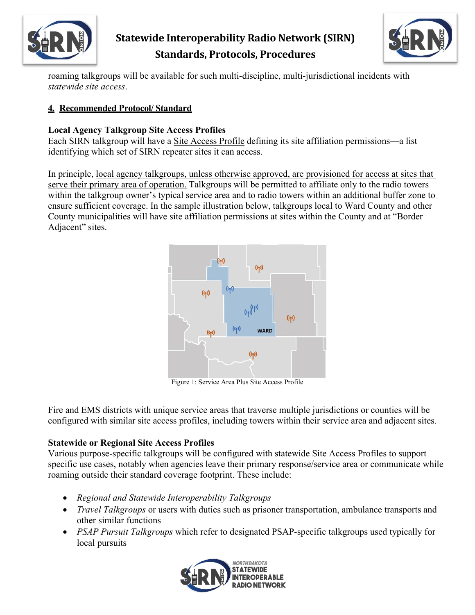



roaming talkgroups will be available for such multi-discipline, multi-jurisdictional incidents with *statewide site access*.

# **4. Recommended Protocol/ Standard**

# **Local Agency Talkgroup Site Access Profiles**

Each SIRN talkgroup will have a Site Access Profile defining its site affiliation permissions—a list identifying which set of SIRN repeater sites it can access.

In principle, local agency talkgroups, unless otherwise approved, are provisioned for access at sites that serve their primary area of operation. Talkgroups will be permitted to affiliate only to the radio towers within the talkgroup owner's typical service area and to radio towers within an additional buffer zone to ensure sufficient coverage. In the sample illustration below, talkgroups local to Ward County and other County municipalities will have site affiliation permissions at sites within the County and at "Border Adjacent" sites.



Figure 1: Service Area Plus Site Access Profile

Fire and EMS districts with unique service areas that traverse multiple jurisdictions or counties will be configured with similar site access profiles, including towers within their service area and adjacent sites.

## **Statewide or Regional Site Access Profiles**

Various purpose-specific talkgroups will be configured with statewide Site Access Profiles to support specific use cases, notably when agencies leave their primary response/service area or communicate while roaming outside their standard coverage footprint. These include:

- *Regional and Statewide Interoperability Talkgroups*
- *Travel Talkgroups* or users with duties such as prisoner transportation, ambulance transports and other similar functions
- *PSAP Pursuit Talkgroups* which refer to designated PSAP-specific talkgroups used typically for local pursuits

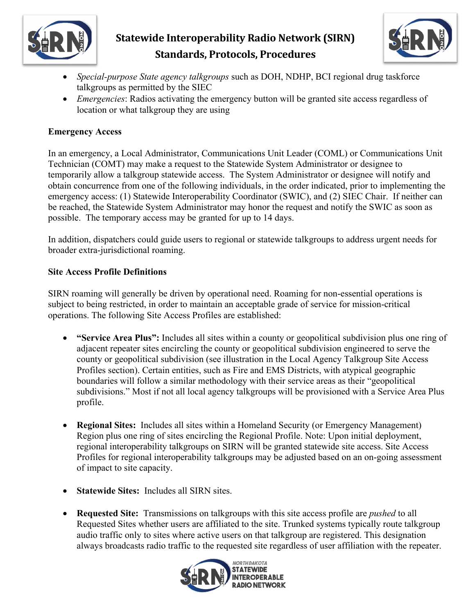



- *Special-purpose State agency talkgroups* such as DOH, NDHP, BCI regional drug taskforce talkgroups as permitted by the SIEC
- *Emergencies*: Radios activating the emergency button will be granted site access regardless of location or what talkgroup they are using

### **Emergency Access**

In an emergency, a Local Administrator, Communications Unit Leader (COML) or Communications Unit Technician (COMT) may make a request to the Statewide System Administrator or designee to temporarily allow a talkgroup statewide access. The System Administrator or designee will notify and obtain concurrence from one of the following individuals, in the order indicated, prior to implementing the emergency access: (1) Statewide Interoperability Coordinator (SWIC), and (2) SIEC Chair. If neither can be reached, the Statewide System Administrator may honor the request and notify the SWIC as soon as possible. The temporary access may be granted for up to 14 days.

In addition, dispatchers could guide users to regional or statewide talkgroups to address urgent needs for broader extra-jurisdictional roaming.

#### **Site Access Profile Definitions**

SIRN roaming will generally be driven by operational need. Roaming for non-essential operations is subject to being restricted, in order to maintain an acceptable grade of service for mission-critical operations. The following Site Access Profiles are established:

- **"Service Area Plus":** Includes all sites within a county or geopolitical subdivision plus one ring of adjacent repeater sites encircling the county or geopolitical subdivision engineered to serve the county or geopolitical subdivision (see illustration in the Local Agency Talkgroup Site Access Profiles section). Certain entities, such as Fire and EMS Districts, with atypical geographic boundaries will follow a similar methodology with their service areas as their "geopolitical subdivisions." Most if not all local agency talkgroups will be provisioned with a Service Area Plus profile.
- **Regional Sites:** Includes all sites within a Homeland Security (or Emergency Management) Region plus one ring of sites encircling the Regional Profile. Note: Upon initial deployment, regional interoperability talkgroups on SIRN will be granted statewide site access. Site Access Profiles for regional interoperability talkgroups may be adjusted based on an on-going assessment of impact to site capacity.
- **Statewide Sites:** Includes all SIRN sites.
- **Requested Site:** Transmissions on talkgroups with this site access profile are *pushed* to all Requested Sites whether users are affiliated to the site. Trunked systems typically route talkgroup audio traffic only to sites where active users on that talkgroup are registered. This designation always broadcasts radio traffic to the requested site regardless of user affiliation with the repeater.

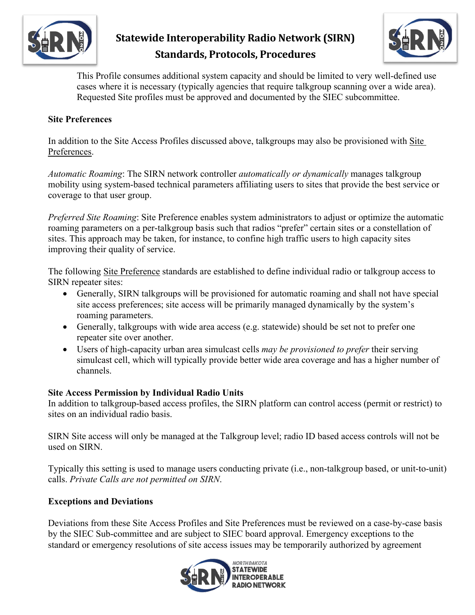



This Profile consumes additional system capacity and should be limited to very well-defined use cases where it is necessary (typically agencies that require talkgroup scanning over a wide area). Requested Site profiles must be approved and documented by the SIEC subcommittee.

#### **Site Preferences**

In addition to the Site Access Profiles discussed above, talkgroups may also be provisioned with Site Preferences.

*Automatic Roaming*: The SIRN network controller *automatically or dynamically* manages talkgroup mobility using system-based technical parameters affiliating users to sites that provide the best service or coverage to that user group.

*Preferred Site Roaming*: Site Preference enables system administrators to adjust or optimize the automatic roaming parameters on a per-talkgroup basis such that radios "prefer" certain sites or a constellation of sites. This approach may be taken, for instance, to confine high traffic users to high capacity sites improving their quality of service.

The following Site Preference standards are established to define individual radio or talkgroup access to SIRN repeater sites:

- Generally, SIRN talkgroups will be provisioned for automatic roaming and shall not have special site access preferences; site access will be primarily managed dynamically by the system's roaming parameters.
- Generally, talkgroups with wide area access (e.g. statewide) should be set not to prefer one repeater site over another.
- Users of high-capacity urban area simulcast cells *may be provisioned to prefer* their serving simulcast cell, which will typically provide better wide area coverage and has a higher number of channels.

#### **Site Access Permission by Individual Radio Units**

In addition to talkgroup-based access profiles, the SIRN platform can control access (permit or restrict) to sites on an individual radio basis.

SIRN Site access will only be managed at the Talkgroup level; radio ID based access controls will not be used on SIRN.

Typically this setting is used to manage users conducting private (i.e., non-talkgroup based, or unit-to-unit) calls. *Private Calls are not permitted on SIRN*.

#### **Exceptions and Deviations**

Deviations from these Site Access Profiles and Site Preferences must be reviewed on a case-by-case basis by the SIEC Sub-committee and are subject to SIEC board approval. Emergency exceptions to the standard or emergency resolutions of site access issues may be temporarily authorized by agreement